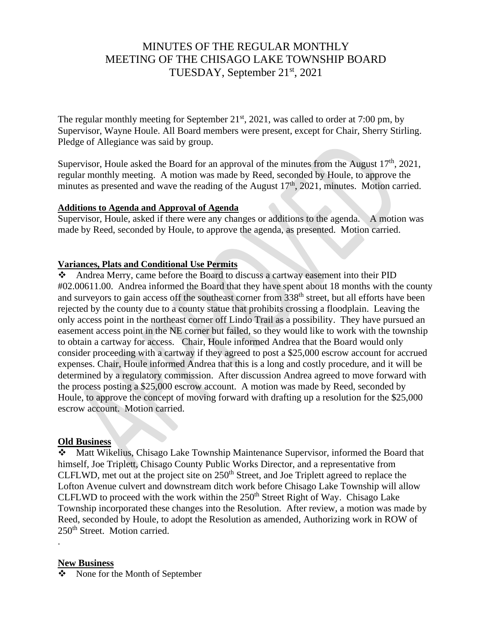# MINUTES OF THE REGULAR MONTHLY MEETING OF THE CHISAGO LAKE TOWNSHIP BOARD TUESDAY, September 21st, 2021

The regular monthly meeting for September  $21<sup>st</sup>$ , 2021, was called to order at 7:00 pm, by Supervisor, Wayne Houle. All Board members were present, except for Chair, Sherry Stirling. Pledge of Allegiance was said by group.

Supervisor, Houle asked the Board for an approval of the minutes from the August  $17<sup>th</sup>$ , 2021, regular monthly meeting. A motion was made by Reed, seconded by Houle, to approve the minutes as presented and wave the reading of the August  $17<sup>th</sup>$ , 2021, minutes. Motion carried.

#### **Additions to Agenda and Approval of Agenda**

Supervisor, Houle, asked if there were any changes or additions to the agenda. A motion was made by Reed, seconded by Houle, to approve the agenda, as presented. Motion carried.

#### **Variances, Plats and Conditional Use Permits**

❖ Andrea Merry, came before the Board to discuss a cartway easement into their PID #02.00611.00. Andrea informed the Board that they have spent about 18 months with the county and surveyors to gain access off the southeast corner from 338<sup>th</sup> street, but all efforts have been rejected by the county due to a county statue that prohibits crossing a floodplain. Leaving the only access point in the northeast corner off Lindo Trail as a possibility. They have pursued an easement access point in the NE corner but failed, so they would like to work with the township to obtain a cartway for access. Chair, Houle informed Andrea that the Board would only consider proceeding with a cartway if they agreed to post a \$25,000 escrow account for accrued expenses. Chair, Houle informed Andrea that this is a long and costly procedure, and it will be determined by a regulatory commission. After discussion Andrea agreed to move forward with the process posting a \$25,000 escrow account. A motion was made by Reed, seconded by Houle, to approve the concept of moving forward with drafting up a resolution for the \$25,000 escrow account. Motion carried.

#### **Old Business**

❖ Matt Wikelius, Chisago Lake Township Maintenance Supervisor, informed the Board that himself, Joe Triplett, Chisago County Public Works Director, and a representative from CLFLWD, met out at the project site on 250<sup>th</sup> Street, and Joe Triplett agreed to replace the Lofton Avenue culvert and downstream ditch work before Chisago Lake Township will allow CLFLWD to proceed with the work within the  $250<sup>th</sup>$  Street Right of Way. Chisago Lake Township incorporated these changes into the Resolution. After review, a motion was made by Reed, seconded by Houle, to adopt the Resolution as amended, Authorizing work in ROW of 250th Street. Motion carried.

#### **New Business**

.

❖ None for the Month of September